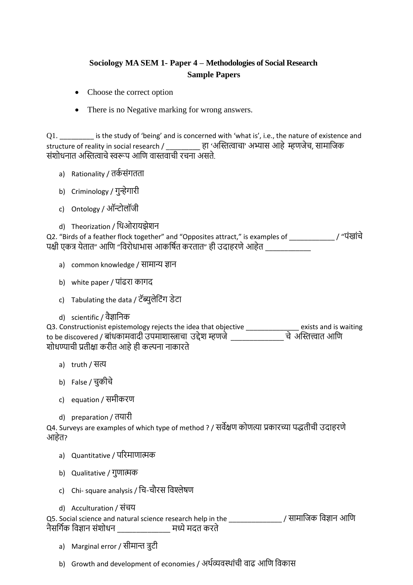## **Sociology MA SEM 1- Paper 4 – Methodologies of Social Research Sample Papers**

- Choose the correct option
- There is no Negative marking for wrong answers.

Q1. \_\_\_\_\_\_\_\_\_ is the study of 'being' and is concerned with 'what is', i.e., the nature of existence and structure of reality in social research / \_\_\_\_\_\_\_\_\_ हा 'अस्तित्वाचा' अभ्यास आहे म्हणजेच, सामाजजक संशोधनात अस्तित्वाचे स्वरूप आणि वास्तवाची रचना असते.

- a) Rationality / तर्कसंगतता
- b) Criminology / गुन्हेगारी
- c) Ontology / ऑन्टोलॉजी
- d) Theorization / जिओरायझेशन

Q2. "Birds of a feather flock together" and "Opposites attract," is examples of \_\_\_\_\_\_\_\_\_\_\_\_ / "पंखांचे पक्षी एकत्र येतात" आणि "विरोधाभास आकर्षित करतात" ही उदाहरणे आहेत \_\_\_\_\_\_\_\_\_\_\_\_\_\_\_

- a) common knowledge / सामान्य ज्ञान
- b) white paper / पांढरा कागद
- c) Tabulating the data / टॅब्युलेजटंग डेटा
- d) scientific / वैज्ञाजनक

Q3. Constructionist epistemology rejects the idea that objective \_\_\_\_\_\_\_\_\_\_\_\_\_\_ exists and is waiting to be discovered / बांधकामवादी उपमाशास्त्राचा उद्देश म्हणजे \_\_\_\_\_\_\_\_\_\_\_\_\_\_ चे अस्तित्त्वात आजण शोधण्याची प्रतीक्षा करीत आहे ही कल्पना नाकारते

- a) truth / सत्य
- b) False / चुकीचे
- c) equation / समीकरण
- d) preparation / तयारी

Q4. Surveys are examples of which type of method ? / सवेक्षण कोणत्या प्रकारच्या पद्धतीची उदाहरणे आहेत?

- a) Quantitative / पररमाणात्मक
- b) Qualitative / गुणात्मक
- c) Chi- square analysis / जच-चौरस जवश्लेषण
- d) Acculturation / संचय

Q5. Social science and natural science research help in the \_\_\_\_\_\_\_\_\_\_\_\_\_\_ / सामाजजक जवज्ञान आजण नैसर्गिक विज्ञान संशोधन खाट्या च्या सध्ये मदत करते

- a) Marginal error / सीमान्त त्रुटी
- b) Growth and development of economies / अर्थव्यवस्थांची वाढ आणि विकास